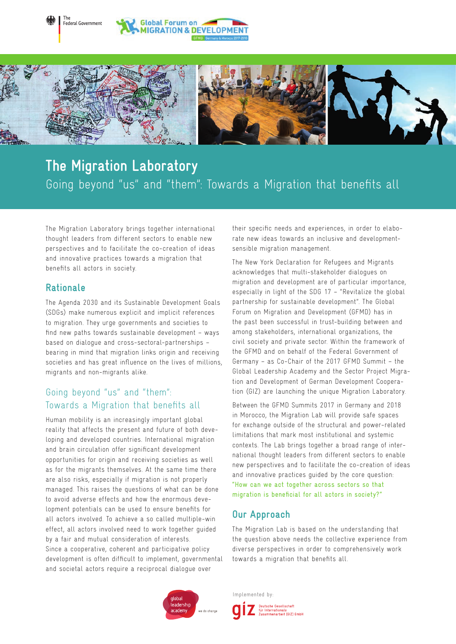



# **The Migration Laboratory**  Going beyond "us" and "them": Towards a Migration that benefits all

The Migration Laboratory brings together international thought leaders from different sectors to enable new perspectives and to facilitate the co-creation of ideas and innovative practices towards a migration that benefits all actors in society.

## **Rationale**

The Agenda 2030 and its Sustainable Development Goals (SDGs) make numerous explicit and implicit references to migration. They urge governments and societies to find new paths towards sustainable development – ways based on dialogue and cross-sectoral-partnerships – bearing in mind that migration links origin and receiving societies and has great influence on the lives of millions, migrants and non-migrants alike.

# Going beyond "us" and "them": Towards a Migration that benefits all

Human mobility is an increasingly important global reality that affects the present and future of both developing and developed countries. International migration and brain circulation offer significant development opportunities for origin and receiving societies as well as for the migrants themselves. At the same time there are also risks, especially if migration is not properly managed. This raises the questions of what can be done to avoid adverse effects and how the enormous development potentials can be used to ensure benefits for all actors involved. To achieve a so called multiple-win effect, all actors involved need to work together guided by a fair and mutual consideration of interests. Since a cooperative, coherent and participative policy development is often difficult to implement, governmental and societal actors require a reciprocal dialogue over

their specific needs and experiences, in order to elaborate new ideas towards an inclusive and developmentsensible migration management.

The New York Declaration for Refugees and Migrants acknowledges that multi-stakeholder dialogues on migration and development are of particular importance, especially in light of the SDG 17 – "Revitalize the global partnership for sustainable development". The Global Forum on Migration and Development (GFMD) has in the past been successful in trust-building between and among stakeholders, international organizations, the civil society and private sector. Within the framework of the GFMD and on behalf of the Federal Government of Germany – as Co-Chair of the 2017 GFMD Summit – the Global Leadership Academy and the Sector Project Migration and Development of German Development Cooperation (GIZ) are launching the unique Migration Laboratory.

Between the GFMD Summits 2017 in Germany and 2018 in Morocco, the Migration Lab will provide safe spaces for exchange outside of the structural and power-related limitations that mark most institutional and systemic contexts. The Lab brings together a broad range of international thought leaders from different sectors to enable new perspectives and to facilitate the co-creation of ideas and innovative practices guided by the core question: "How can we act together across sectors so that migration is beneficial for all actors in society?"

## **Our Approach**

The Migration Lab is based on the understanding that the question above needs the collective experience from diverse perspectives in order to comprehensively work towards a migration that benefits all.



Implemented by:Deutsche Gesellschaft<br>für Internationale<br>Zusammenarbeit (GIZ) GmbH